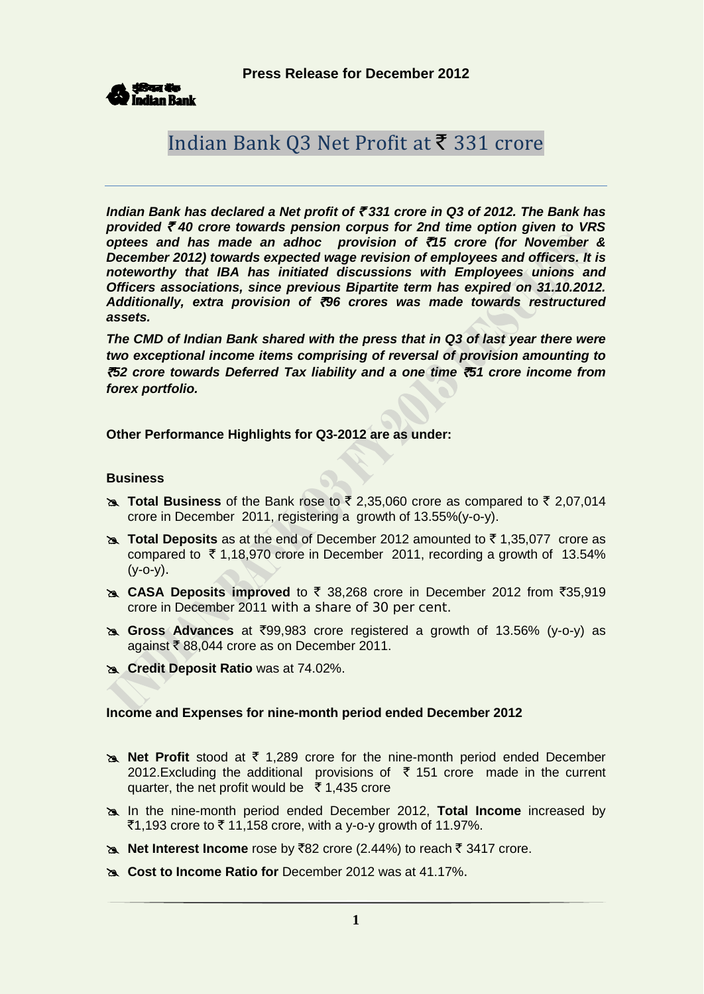**Press Release for December 2012**



# Indian Bank Q3 Net Profit at  $\bar{\tau}$  331 crore

*Indian Bank has declared a Net profit of* ` *331 crore in Q3 of 2012. The Bank has provided* ` *40 crore towards pension corpus for 2nd time option given to VRS optees and has made an adhoc provision of* `*15 crore (for November & December 2012) towards expected wage revision of employees and officers. It is noteworthy that IBA has initiated discussions with Employees unions and Officers associations, since previous Bipartite term has expired on 31.10.2012. Additionally, extra provision of* `*96 crores was made towards restructured assets.*

*The CMD of Indian Bank shared with the press that in Q3 of last year there were two exceptional income items comprising of reversal of provision amounting to*  `*52 crore towards Deferred Tax liability and a one time* `*51 crore income from forex portfolio.* 

**Other Performance Highlights for Q3-2012 are as under:**

#### **Business**

- **Total Business** of the Bank rose to  $\bar{\tau}$  2,35,060 crore as compared to  $\bar{\tau}$  2,07,014 crore in December 2011, registering a growth of 13.55%(y-o-y).
- **EXAL Total Deposits** as at the end of December 2012 amounted to ₹1,35,077 crore as compared to  $\overline{5}$  1,18,970 crore in December 2011, recording a growth of 13.54%  $(y - 0 - y)$ .
- **EXAISA Deposits improved** to ₹ 38,268 crore in December 2012 from ₹35,919 crore in December 2011 with a share of 30 per cent.
- **Gross Advances** at `99,983 crore registered a growth of 13.56% (y-o-y) as against  $\bar{\tau}$  88,044 crore as on December 2011.
- **Credit Deposit Ratio** was at 74.02%.

#### **Income and Expenses for nine-month period ended December 2012**

- **Net Profit** stood at ₹ 1,289 crore for the nine-month period ended December 2012.Excluding the additional provisions of  $\bar{\tau}$  151 crore made in the current quarter, the net profit would be  $\bar{\tau}$  1,435 crore
- In the nine-month period ended December 2012, **Total Income** increased by  $\bar{5}1,193$  crore to  $\bar{5}$  11,158 crore, with a y-o-y growth of 11.97%.
- **Net Interest Income** rose by ₹82 crore (2.44%) to reach ₹ 3417 crore.
- **Cost to Income Ratio for** December 2012 was at 41.17%.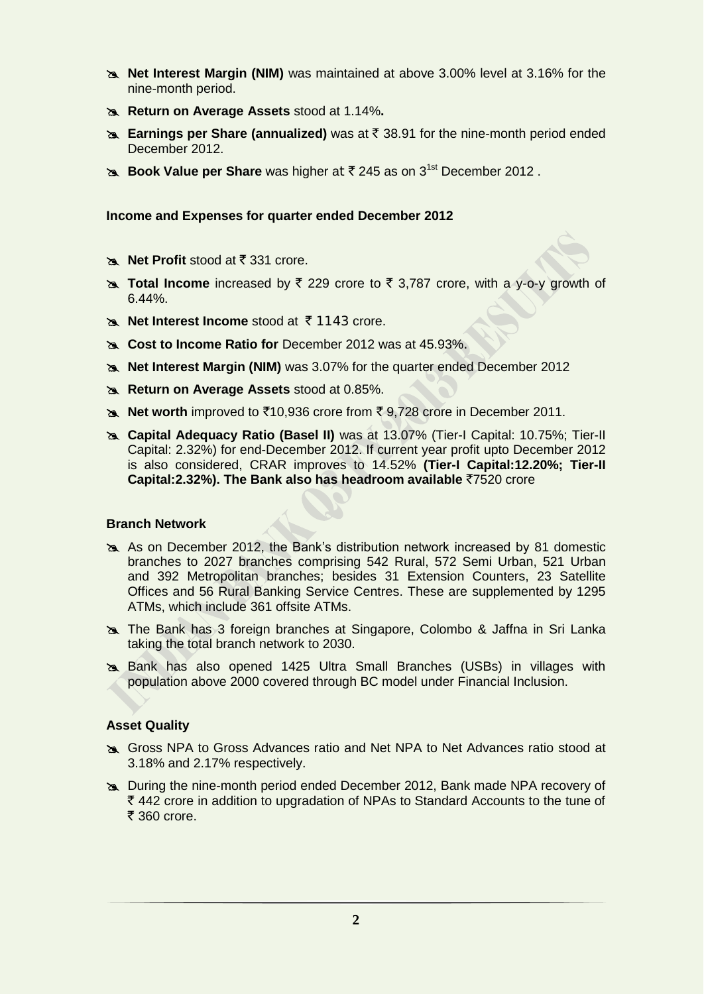- **Net Interest Margin (NIM)** was maintained at above 3.00% level at 3.16% for the nine-month period.
- **Return on Average Assets** stood at 1.14%**.**
- **Earnings per Share (annualized)** was at ₹ 38.91 for the nine-month period ended December 2012.
- **Book Value per Share** was higher at ₹ 245 as on 3<sup>1st</sup> December 2012.

## **Income and Expenses for quarter ended December 2012**

- **Net Profit** stood at ₹ 331 crore.
- **A Total Income** increased by ₹ 229 crore to ₹ 3,787 crore, with a y-o-y growth of 6.44%.
- **Net Interest Income** stood at ₹1143 crore.
- **Cost to Income Ratio for** December 2012 was at 45.93%.
- **Net Interest Margin (NIM)** was 3.07% for the quarter ended December 2012
- **Return on Average Assets** stood at 0.85%.
- **Net worth** improved to ₹10,936 crore from ₹ 9,728 crore in December 2011.
- **Capital Adequacy Ratio (Basel II)** was at 13.07% (Tier-I Capital: 10.75%; Tier-II Capital: 2.32%) for end-December 2012. If current year profit upto December 2012 is also considered, CRAR improves to 14.52% **(Tier-I Capital:12.20%; Tier-II Capital:2.32%). The Bank also has headroom available ₹7520 crore**

#### **Branch Network**

- As on December 2012, the Bank's distribution network increased by 81 domestic branches to 2027 branches comprising 542 Rural, 572 Semi Urban, 521 Urban and 392 Metropolitan branches; besides 31 Extension Counters, 23 Satellite Offices and 56 Rural Banking Service Centres. These are supplemented by 1295 ATMs, which include 361 offsite ATMs.
- The Bank has 3 foreign branches at Singapore, Colombo & Jaffna in Sri Lanka taking the total branch network to 2030.
- Bank has also opened 1425 Ultra Small Branches (USBs) in villages with population above 2000 covered through BC model under Financial Inclusion.

#### **Asset Quality**

- Gross NPA to Gross Advances ratio and Net NPA to Net Advances ratio stood at 3.18% and 2.17% respectively.
- During the nine-month period ended December 2012, Bank made NPA recovery of  $\bar{\tau}$  442 crore in addition to upgradation of NPAs to Standard Accounts to the tune of  $\bar{\bar{\xi}}$  360 crore.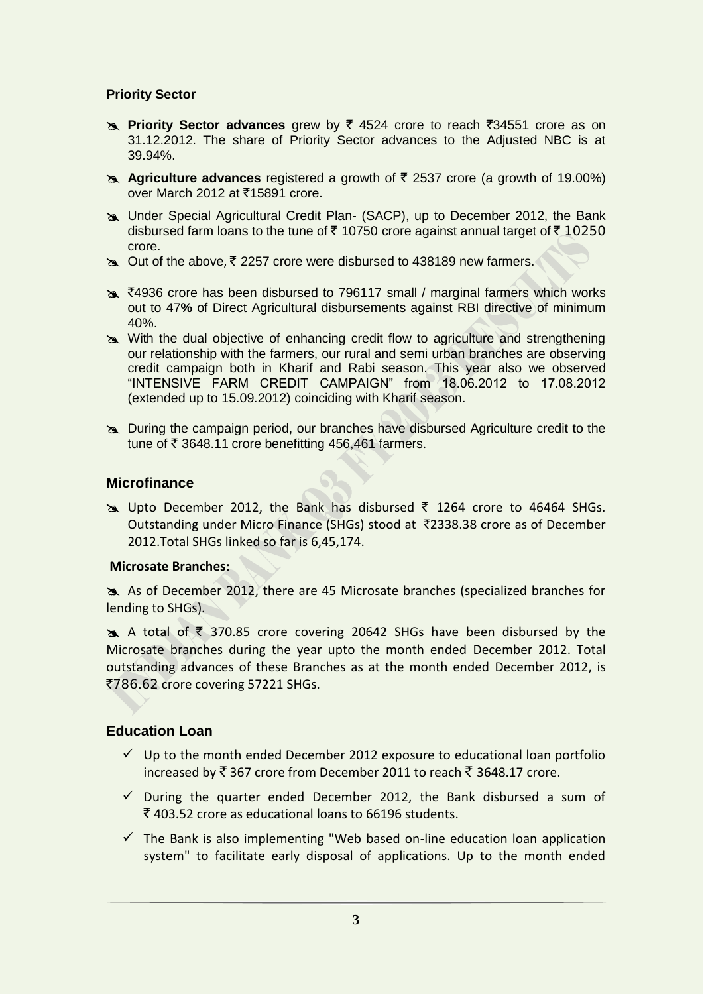# **Priority Sector**

- **EXALUATE:** Priority Sector advances grew by  $\bar{\xi}$  4524 crore to reach  $\bar{\xi}$ 34551 crore as on 31.12.2012. The share of Priority Sector advances to the Adjusted NBC is at 39.94%.
- **Agriculture advances** registered a growth of  $\bar{\tau}$  2537 crore (a growth of 19.00%) over March 2012 at ₹15891 crore.
- Under Special Agricultural Credit Plan- (SACP), up to December 2012, the Bank disbursed farm loans to the tune of  $\bar{\tau}$  10750 crore against annual target of  $\bar{\tau}$  10250 crore.
- $\infty$  Out of the above,  $\bar{\tau}$  2257 crore were disbursed to 438189 new farmers.
- $\approx$  ₹4936 crore has been disbursed to 796117 small / marginal farmers which works out to 47**%** of Direct Agricultural disbursements against RBI directive of minimum 40%.
- With the dual objective of enhancing credit flow to agriculture and strengthening our relationship with the farmers, our rural and semi urban branches are observing credit campaign both in Kharif and Rabi season. This year also we observed "INTENSIVE FARM CREDIT CAMPAIGN" from 18.06.2012 to 17.08.2012 (extended up to 15.09.2012) coinciding with Kharif season.
- During the campaign period, our branches have disbursed Agriculture credit to the tune of  $\bar{\tau}$  3648.11 crore benefitting 456,461 farmers.

## **Microfinance**

 $\approx$  Upto December 2012, the Bank has disbursed  $\overline{5}$  1264 crore to 46464 SHGs. Outstanding under Micro Finance (SHGs) stood at `2338.38 crore as of December 2012.Total SHGs linked so far is 6,45,174.

## **Microsate Branches:**

 As of December 2012, there are 45 Microsate branches (specialized branches for lending to SHGs).

A total of  $\overline{\zeta}$  370.85 crore covering 20642 SHGs have been disbursed by the Microsate branches during the year upto the month ended December 2012. Total outstanding advances of these Branches as at the month ended December 2012, is ₹786.62 crore covering 57221 SHGs.

## **Education Loan**

- $\checkmark$  Up to the month ended December 2012 exposure to educational loan portfolio increased by  $\bar{\xi}$  367 crore from December 2011 to reach  $\bar{\xi}$  3648.17 crore.
- $\checkmark$  During the quarter ended December 2012, the Bank disbursed a sum of  $\bar{\xi}$  403.52 crore as educational loans to 66196 students.
- $\checkmark$  The Bank is also implementing "Web based on-line education loan application system" to facilitate early disposal of applications. Up to the month ended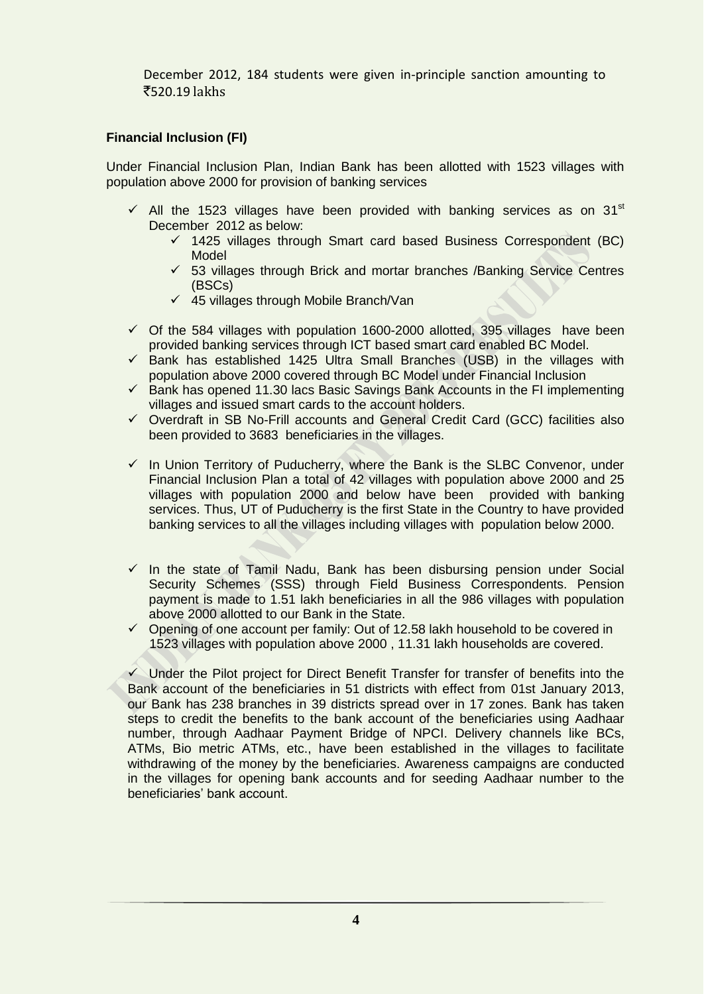December 2012, 184 students were given in-principle sanction amounting to `520.19 lakhs

# **Financial Inclusion (FI)**

Under Financial Inclusion Plan, Indian Bank has been allotted with 1523 villages with population above 2000 for provision of banking services

- $\checkmark$  All the 1523 villages have been provided with banking services as on 31st December 2012 as below:
	- $\checkmark$  1425 villages through Smart card based Business Correspondent (BC) Model
	- $\checkmark$  53 villages through Brick and mortar branches /Banking Service Centres (BSCs)
	- $\checkmark$  45 villages through Mobile Branch/Van
- $\checkmark$  Of the 584 villages with population 1600-2000 allotted, 395 villages have been provided banking services through ICT based smart card enabled BC Model.
- $\checkmark$  Bank has established 1425 Ultra Small Branches (USB) in the villages with population above 2000 covered through BC Model under Financial Inclusion
- $\checkmark$  Bank has opened 11.30 lacs Basic Savings Bank Accounts in the FI implementing villages and issued smart cards to the account holders.
- $\checkmark$  Overdraft in SB No-Frill accounts and General Credit Card (GCC) facilities also been provided to 3683 beneficiaries in the villages.
- $\checkmark$  In Union Territory of Puducherry, where the Bank is the SLBC Convenor, under Financial Inclusion Plan a total of 42 villages with population above 2000 and 25 villages with population 2000 and below have been provided with banking services. Thus, UT of Puducherry is the first State in the Country to have provided banking services to all the villages including villages with population below 2000.
- $\checkmark$  In the state of Tamil Nadu, Bank has been disbursing pension under Social Security Schemes (SSS) through Field Business Correspondents. Pension payment is made to 1.51 lakh beneficiaries in all the 986 villages with population above 2000 allotted to our Bank in the State.
- $\checkmark$  Opening of one account per family: Out of 12.58 lakh household to be covered in 1523 villages with population above 2000 , 11.31 lakh households are covered.

 $\checkmark$  Under the Pilot project for Direct Benefit Transfer for transfer of benefits into the Bank account of the beneficiaries in 51 districts with effect from 01st January 2013, our Bank has 238 branches in 39 districts spread over in 17 zones. Bank has taken steps to credit the benefits to the bank account of the beneficiaries using Aadhaar number, through Aadhaar Payment Bridge of NPCI. Delivery channels like BCs, ATMs, Bio metric ATMs, etc., have been established in the villages to facilitate withdrawing of the money by the beneficiaries. Awareness campaigns are conducted in the villages for opening bank accounts and for seeding Aadhaar number to the beneficiaries' bank account.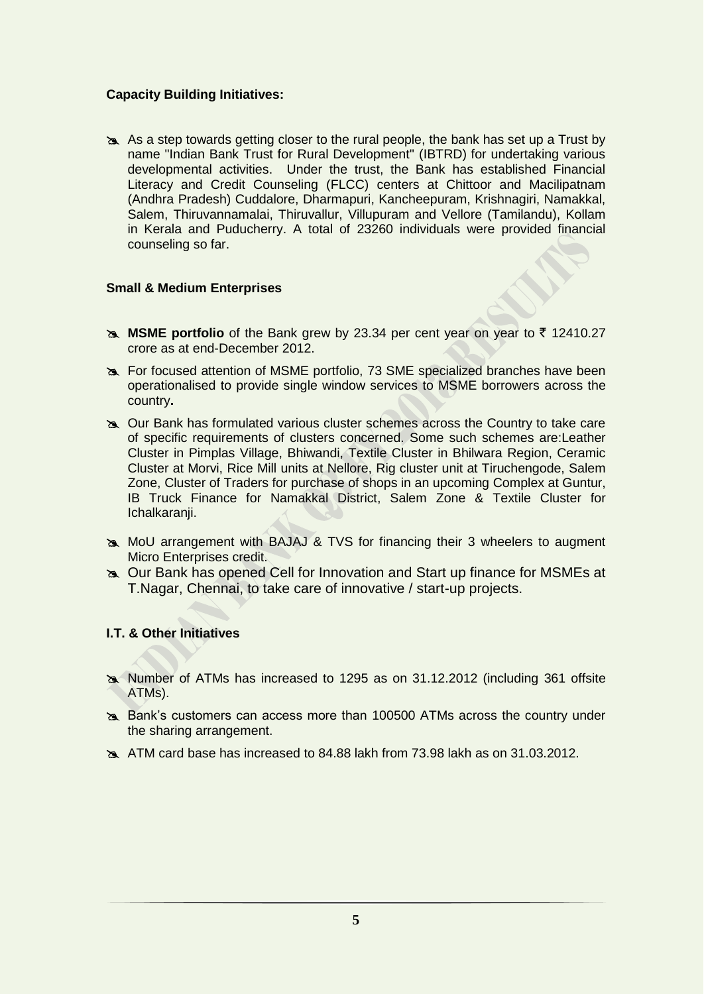## **Capacity Building Initiatives:**

 As a step towards getting closer to the rural people, the bank has set up a Trust by name "Indian Bank Trust for Rural Development'' (IBTRD) for undertaking various developmental activities. Under the trust, the Bank has established Financial Literacy and Credit Counseling (FLCC) centers at Chittoor and Macilipatnam (Andhra Pradesh) Cuddalore, Dharmapuri, Kancheepuram, Krishnagiri, Namakkal, Salem, Thiruvannamalai, Thiruvallur, Villupuram and Vellore (Tamilandu), Kollam in Kerala and Puducherry. A total of 23260 individuals were provided financial counseling so far.

## **Small & Medium Enterprises**

- **MSME portfolio** of the Bank grew by 23.34 per cent year on year to  $\bar{\tau}$  12410.27 crore as at end-December 2012.
- For focused attention of MSME portfolio, 73 SME specialized branches have been operationalised to provide single window services to MSME borrowers across the country**.**
- Our Bank has formulated various cluster schemes across the Country to take care of specific requirements of clusters concerned. Some such schemes are:Leather Cluster in Pimplas Village, Bhiwandi, Textile Cluster in Bhilwara Region, Ceramic Cluster at Morvi, Rice Mill units at Nellore, Rig cluster unit at Tiruchengode, Salem Zone, Cluster of Traders for purchase of shops in an upcoming Complex at Guntur, IB Truck Finance for Namakkal District, Salem Zone & Textile Cluster for Ichalkaranii.
- MoU arrangement with BAJAJ & TVS for financing their 3 wheelers to augment Micro Enterprises credit.
- Our Bank has opened Cell for Innovation and Start up finance for MSMEs at T.Nagar, Chennai, to take care of innovative / start-up projects.

## **I.T. & Other Initiatives**

- Number of ATMs has increased to 1295 as on 31.12.2012 (including 361 offsite ATMs).
- Bank's customers can access more than 100500 ATMs across the country under the sharing arrangement.
- ATM card base has increased to 84.88 lakh from 73.98 lakh as on 31.03.2012.